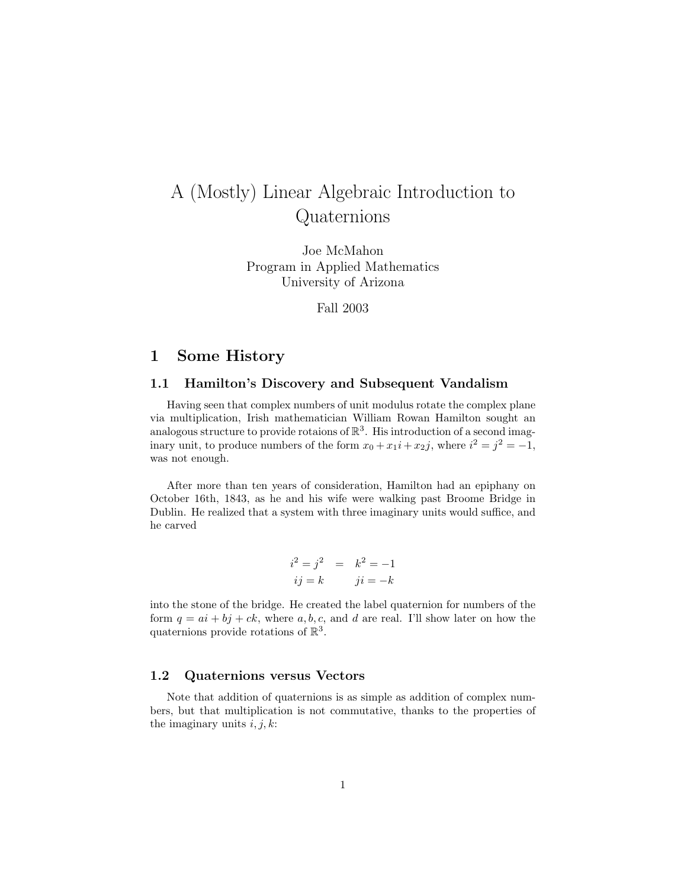# A (Mostly) Linear Algebraic Introduction to Quaternions

Joe McMahon Program in Applied Mathematics University of Arizona

Fall 2003

## 1 Some History

#### 1.1 Hamilton's Discovery and Subsequent Vandalism

Having seen that complex numbers of unit modulus rotate the complex plane via multiplication, Irish mathematician William Rowan Hamilton sought an analogous structure to provide rotaions of  $\mathbb{R}^3$ . His introduction of a second imaginary unit, to produce numbers of the form  $x_0 + x_1i + x_2j$ , where  $i^2 = j^2 = -1$ , was not enough.

After more than ten years of consideration, Hamilton had an epiphany on October 16th, 1843, as he and his wife were walking past Broome Bridge in Dublin. He realized that a system with three imaginary units would suffice, and he carved

$$
i2 = j2 = k2 = -1
$$
  

$$
ij = k \qquad ji = -k
$$

into the stone of the bridge. He created the label quaternion for numbers of the form  $q = ai + bj + ck$ , where a, b, c, and d are real. I'll show later on how the quaternions provide rotations of  $\mathbb{R}^3$ .

#### 1.2 Quaternions versus Vectors

Note that addition of quaternions is as simple as addition of complex numbers, but that multiplication is not commutative, thanks to the properties of the imaginary units  $i, j, k$ :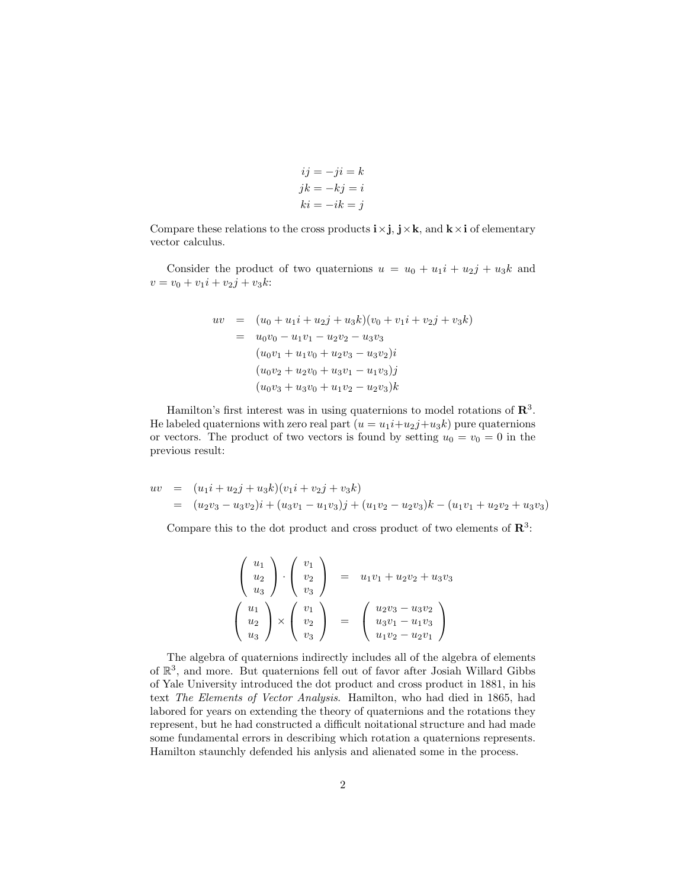$$
ij = -ji = k
$$
  

$$
jk = -kj = i
$$
  

$$
ki = -ik = j
$$

Compare these relations to the cross products  $i \times j$ ,  $j \times k$ , and  $k \times i$  of elementary vector calculus.

Consider the product of two quaternions  $u = u_0 + u_1 i + u_2 j + u_3 k$  and  $v = v_0 + v_1 i + v_2 j + v_3 k$ :

$$
uv = (u_0 + u_1i + u_2j + u_3k)(v_0 + v_1i + v_2j + v_3k)
$$
  
=  $u_0v_0 - u_1v_1 - u_2v_2 - u_3v_3$   
 $(u_0v_1 + u_1v_0 + u_2v_3 - u_3v_2)i$   
 $(u_0v_2 + u_2v_0 + u_3v_1 - u_1v_3)j$   
 $(u_0v_3 + u_3v_0 + u_1v_2 - u_2v_3)k$ 

Hamilton's first interest was in using quaternions to model rotations of  $\mathbb{R}^3$ . He labeled quaternions with zero real part  $(u = u_1 i + u_2 j + u_3 k)$  pure quaternions or vectors. The product of two vectors is found by setting  $u_0 = v_0 = 0$  in the previous result:

$$
uv = (u_1i + u_2j + u_3k)(v_1i + v_2j + v_3k)
$$
  
= 
$$
(u_2v_3 - u_3v_2)i + (u_3v_1 - u_1v_3)j + (u_1v_2 - u_2v_3)k - (u_1v_1 + u_2v_2 + u_3v_3)
$$

Compare this to the dot product and cross product of two elements of  $\mathbb{R}^3$ :

$$
\begin{pmatrix}\nu_1 \\
u_2 \\
u_3\n\end{pmatrix} \cdot \begin{pmatrix}\nv_1 \\
v_2 \\
v_3\n\end{pmatrix} = u_1v_1 + u_2v_2 + u_3v_3
$$
  

$$
\begin{pmatrix}\nu_1 \\
u_2 \\
u_3\n\end{pmatrix} \times \begin{pmatrix}\nv_1 \\
v_2 \\
v_3\n\end{pmatrix} = \begin{pmatrix}\nu_2v_3 - u_3v_2 \\
u_3v_1 - u_1v_3 \\
u_1v_2 - u_2v_1\n\end{pmatrix}
$$

The algebra of quaternions indirectly includes all of the algebra of elements of R 3 , and more. But quaternions fell out of favor after Josiah Willard Gibbs of Yale University introduced the dot product and cross product in 1881, in his text The Elements of Vector Analysis. Hamilton, who had died in 1865, had labored for years on extending the theory of quaternions and the rotations they represent, but he had constructed a difficult noitational structure and had made some fundamental errors in describing which rotation a quaternions represents. Hamilton staunchly defended his anlysis and alienated some in the process.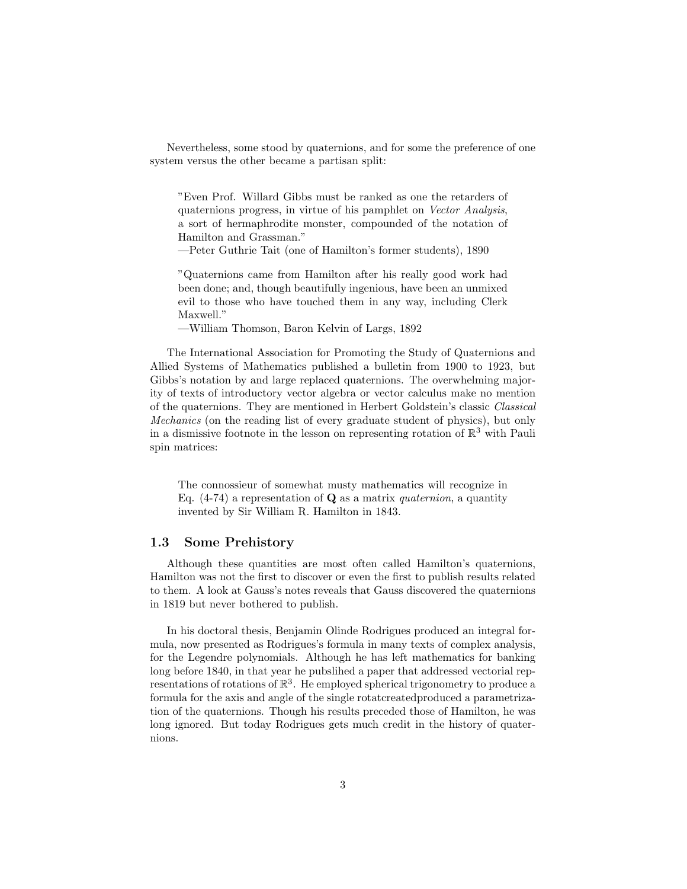Nevertheless, some stood by quaternions, and for some the preference of one system versus the other became a partisan split:

"Even Prof. Willard Gibbs must be ranked as one the retarders of quaternions progress, in virtue of his pamphlet on Vector Analysis, a sort of hermaphrodite monster, compounded of the notation of Hamilton and Grassman."

—Peter Guthrie Tait (one of Hamilton's former students), 1890

"Quaternions came from Hamilton after his really good work had been done; and, though beautifully ingenious, have been an unmixed evil to those who have touched them in any way, including Clerk Maxwell."

—William Thomson, Baron Kelvin of Largs, 1892

The International Association for Promoting the Study of Quaternions and Allied Systems of Mathematics published a bulletin from 1900 to 1923, but Gibbs's notation by and large replaced quaternions. The overwhelming majority of texts of introductory vector algebra or vector calculus make no mention of the quaternions. They are mentioned in Herbert Goldstein's classic Classical Mechanics (on the reading list of every graduate student of physics), but only in a dismissive footnote in the lesson on representing rotation of  $\mathbb{R}^3$  with Pauli spin matrices:

The connossieur of somewhat musty mathematics will recognize in Eq.  $(4-74)$  a representation of **Q** as a matrix *quaternion*, a quantity invented by Sir William R. Hamilton in 1843.

## 1.3 Some Prehistory

Although these quantities are most often called Hamilton's quaternions, Hamilton was not the first to discover or even the first to publish results related to them. A look at Gauss's notes reveals that Gauss discovered the quaternions in 1819 but never bothered to publish.

In his doctoral thesis, Benjamin Olinde Rodrigues produced an integral formula, now presented as Rodrigues's formula in many texts of complex analysis, for the Legendre polynomials. Although he has left mathematics for banking long before 1840, in that year he pubslihed a paper that addressed vectorial representations of rotations of  $\mathbb{R}^3$ . He employed spherical trigonometry to produce a formula for the axis and angle of the single rotatcreatedproduced a parametrization of the quaternions. Though his results preceded those of Hamilton, he was long ignored. But today Rodrigues gets much credit in the history of quaternions.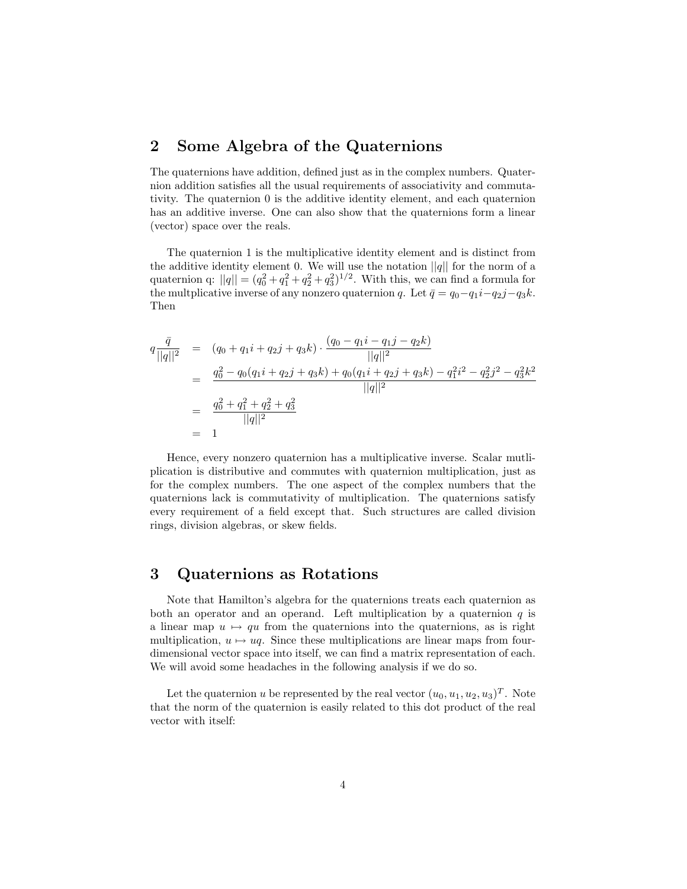## 2 Some Algebra of the Quaternions

The quaternions have addition, defined just as in the complex numbers. Quaternion addition satisfies all the usual requirements of associativity and commutativity. The quaternion 0 is the additive identity element, and each quaternion has an additive inverse. One can also show that the quaternions form a linear (vector) space over the reals.

The quaternion 1 is the multiplicative identity element and is distinct from the additive identity element 0. We will use the notation  $||q||$  for the norm of a quaternion q:  $||q|| = (q_0^2 + q_1^2 + q_2^2 + q_3^2)^{1/2}$ . With this, we can find a formula for the multplicative inverse of any nonzero quaternion q. Let  $\bar{q} = q_0 - q_1 i - q_2 j - q_3 k$ . Then

$$
q \frac{\bar{q}}{||q||^2} = (q_0 + q_1 i + q_2 j + q_3 k) \cdot \frac{(q_0 - q_1 i - q_1 j - q_2 k)}{||q||^2}
$$
  
= 
$$
\frac{q_0^2 - q_0(q_1 i + q_2 j + q_3 k) + q_0(q_1 i + q_2 j + q_3 k) - q_1^2 i^2 - q_2^2 j^2 - q_3^2 k^2}{||q||^2}
$$
  
= 
$$
\frac{q_0^2 + q_1^2 + q_2^2 + q_3^2}{||q||^2}
$$
  
= 1

Hence, every nonzero quaternion has a multiplicative inverse. Scalar mutliplication is distributive and commutes with quaternion multiplication, just as for the complex numbers. The one aspect of the complex numbers that the quaternions lack is commutativity of multiplication. The quaternions satisfy every requirement of a field except that. Such structures are called division rings, division algebras, or skew fields.

## 3 Quaternions as Rotations

Note that Hamilton's algebra for the quaternions treats each quaternion as both an operator and an operand. Left multiplication by a quaternion  $q$  is a linear map  $u \mapsto qu$  from the quaternions into the quaternions, as is right multiplication,  $u \mapsto uq$ . Since these multiplications are linear maps from fourdimensional vector space into itself, we can find a matrix representation of each. We will avoid some headaches in the following analysis if we do so.

Let the quaternion u be represented by the real vector  $(u_0, u_1, u_2, u_3)^T$ . Note that the norm of the quaternion is easily related to this dot product of the real vector with itself: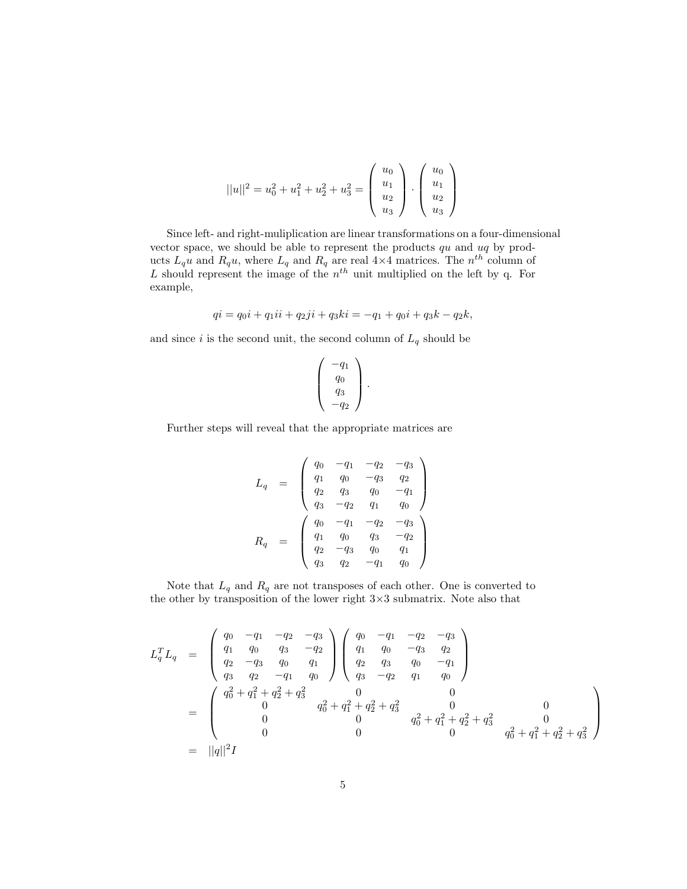$$
||u||^{2} = u_{0}^{2} + u_{1}^{2} + u_{2}^{2} + u_{3}^{2} = \begin{pmatrix} u_{0} \\ u_{1} \\ u_{2} \\ u_{3} \end{pmatrix} \cdot \begin{pmatrix} u_{0} \\ u_{1} \\ u_{2} \\ u_{3} \end{pmatrix}
$$

Since left- and right-muliplication are linear transformations on a four-dimensional vector space, we should be able to represent the products  $qu$  and  $uq$  by products  $L_q u$  and  $R_q u$ , where  $L_q$  and  $R_q$  are real 4×4 matrices. The  $n^{th}$  column of L should represent the image of the  $n<sup>th</sup>$  unit multiplied on the left by q. For example,

$$
qi = q_0i + q_1ii + q_2ji + q_3ki = -q_1 + q_0i + q_3k - q_2k,
$$

and since  $i$  is the second unit, the second column of  ${\cal L}_q$  should be

$$
\left(\begin{array}{c} -q_1 \\ q_0 \\ q_3 \\ -q_2 \end{array}\right).
$$

Further steps will reveal that the appropriate matrices are

$$
L_q = \begin{pmatrix} q_0 & -q_1 & -q_2 & -q_3 \ q_1 & q_0 & -q_3 & q_2 \ q_2 & q_3 & q_0 & -q_1 \ q_3 & -q_2 & q_1 & q_0 \ \end{pmatrix}
$$
  

$$
R_q = \begin{pmatrix} q_0 & -q_1 & -q_2 & -q_3 \ q_1 & q_0 & q_3 & -q_2 \ q_2 & -q_3 & q_0 & q_1 \ q_3 & q_2 & -q_1 & q_0 \end{pmatrix}
$$

Note that  ${\cal L}_q$  and  ${\cal R}_q$  are not transposes of each other. One is converted to the other by transposition of the lower right  $3\times3$  submatrix. Note also that

$$
L_q^T L_q = \begin{pmatrix} q_0 & -q_1 & -q_2 & -q_3 \ q_1 & q_0 & q_3 & -q_2 \ q_2 & -q_3 & q_0 & q_1 \ q_3 & q_2 & -q_1 & q_0 \end{pmatrix} \begin{pmatrix} q_0 & -q_1 & -q_2 & -q_3 \ q_1 & q_0 & -q_3 & q_2 \ q_3 & q_0 & -q_1 \ q_3 & -q_2 & q_1 & q_0 \end{pmatrix}
$$
  
= 
$$
\begin{pmatrix} q_0^2 + q_1^2 + q_2^2 + q_3^2 & 0 & 0 \ 0 & q_0^2 + q_1^2 + q_2^2 + q_3^2 & 0 & 0 \ 0 & 0 & q_0^2 + q_1^2 + q_2^2 + q_3^2 & 0 \ 0 & 0 & 0 & q_0^2 + q_1^2 + q_2^2 + q_3^2 \end{pmatrix}
$$
  
= 
$$
||q||^2 I
$$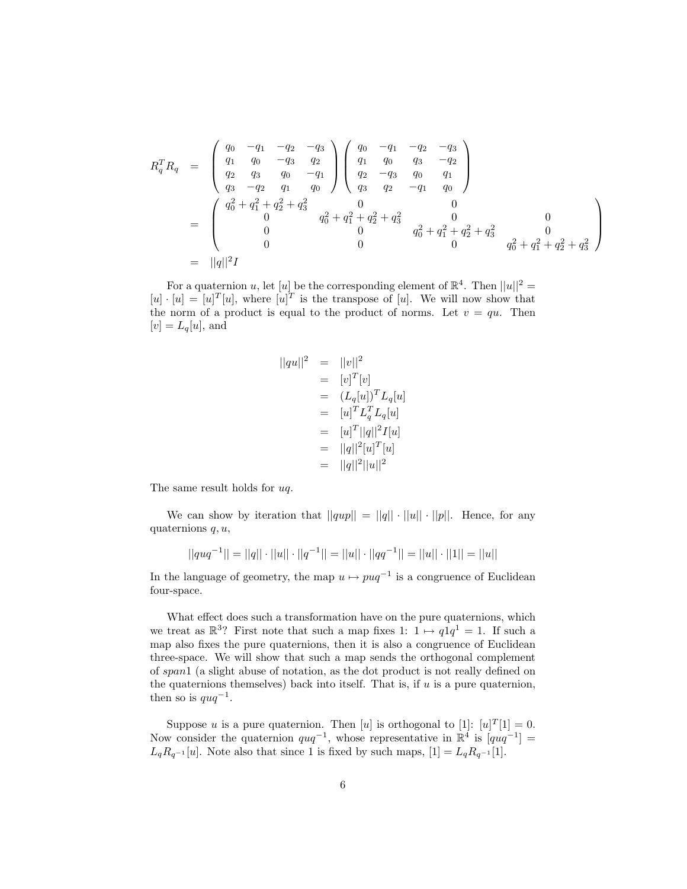$$
R_q^T R_q = \begin{pmatrix} q_0 & -q_1 & -q_2 & -q_3 \ q_1 & q_0 & -q_3 & q_2 \ q_2 & q_3 & q_0 & -q_1 \ q_3 & -q_2 & q_1 & q_0 \end{pmatrix} \begin{pmatrix} q_0 & -q_1 & -q_2 & -q_3 \ q_1 & q_0 & q_3 & -q_2 \ q_2 & -q_3 & q_0 & q_1 \ q_3 & q_2 & -q_1 & q_0 \end{pmatrix}
$$
  
= 
$$
\begin{pmatrix} q_0^2 + q_1^2 + q_2^2 + q_3^2 & 0 & 0 \ 0 & q_0^2 + q_1^2 + q_2^2 + q_3^2 & 0 \ 0 & 0 & q_0^2 + q_1^2 + q_2^2 + q_3^2 & 0 \ 0 & 0 & 0 & q_0^2 + q_1^2 + q_2^2 + q_3^2 \end{pmatrix}
$$
  
= 
$$
||q||^2 I
$$

For a quaternion u, let [u] be the corresponding element of  $\mathbb{R}^4$ . Then  $||u||^2 =$  $[u] \cdot [u] = [u]^T [u]$ , where  $[u]^T$  is the transpose of [u]. We will now show that the norm of a product is equal to the product of norms. Let  $v = qu$ . Then  $[v] = L_q[u]$ , and

$$
||qu||2 = ||v||2
$$
  
=  $[v]T[v]$   
=  $(L_q[u])TL_q[u]$   
=  $[u]TL_qTL_q[u]$   
=  $[u]T||q||2I[u]$   
=  $||q||2[u]T[u]$   
=  $||q||2||u||2$ 

The same result holds for uq.

We can show by iteration that  $||qup|| = ||q|| \cdot ||u|| \cdot ||p||$ . Hence, for any quaternions  $q, u$ ,

$$
||quq^{-1}|| = ||q|| \cdot ||u|| \cdot ||q^{-1}|| = ||u|| \cdot ||qq^{-1}|| = ||u|| \cdot ||1|| = ||u||
$$

In the language of geometry, the map  $u \mapsto puq^{-1}$  is a congruence of Euclidean four-space.

What effect does such a transformation have on the pure quaternions, which we treat as  $\mathbb{R}^3$ ? First note that such a map fixes 1:  $1 \mapsto q_1 q_1 = 1$ . If such a map also fixes the pure quaternions, then it is also a congruence of Euclidean three-space. We will show that such a map sends the orthogonal complement of span1 (a slight abuse of notation, as the dot product is not really defined on the quaternions themselves) back into itself. That is, if  $u$  is a pure quaternion, then so is  $quq^{-1}$ .

Suppose u is a pure quaternion. Then [u] is orthogonal to [1]:  $[u]^{T}[1] = 0$ . Now consider the quaternion  $quq^{-1}$ , whose representative in  $\mathbb{R}^4$  is  $[quq^{-1}] =$  $L_qR_{q^{-1}}[u]$ . Note also that since 1 is fixed by such maps,  $[1] = L_qR_{q^{-1}}[1]$ .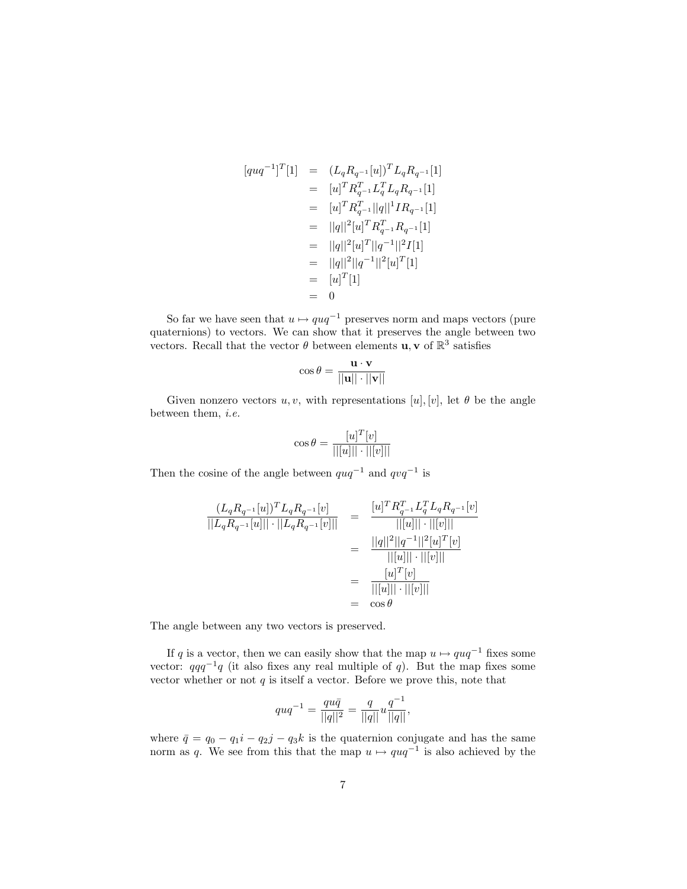$$
[quq^{-1}]^{T}[1] = (L_{q}R_{q^{-1}}[u])^{T}L_{q}R_{q^{-1}}[1]
$$
  
\n
$$
= [u]^{T}R_{q^{-1}}^{T}L_{q}^{T}L_{q}R_{q^{-1}}[1]
$$
  
\n
$$
= [u]^{T}R_{q^{-1}}^{T}|q||^{1}IR_{q^{-1}}[1]
$$
  
\n
$$
= ||q||^{2}[u]^{T}R_{q^{-1}}^{T}R_{q^{-1}}[1]
$$
  
\n
$$
= ||q||^{2}[u]^{T}||q^{-1}||^{2}I[1]
$$
  
\n
$$
= ||q||^{2}||q^{-1}||^{2}[u]^{T}[1]
$$
  
\n
$$
= [u]^{T}[1]
$$
  
\n
$$
= 0
$$

So far we have seen that  $u \mapsto quq^{-1}$  preserves norm and maps vectors (pure quaternions) to vectors. We can show that it preserves the angle between two vectors. Recall that the vector  $\theta$  between elements **u**, **v** of  $\mathbb{R}^3$  satisfies

$$
\cos \theta = \frac{\mathbf{u} \cdot \mathbf{v}}{||\mathbf{u}|| \cdot ||\mathbf{v}||}
$$

Given nonzero vectors u, v, with representations  $[u], [v]$ , let  $\theta$  be the angle between them, i.e.

$$
\cos \theta = \frac{[u]^T[v]}{||[u]|| \cdot ||[v]||}
$$

Then the cosine of the angle between  $quq^{-1}$  and  $qvq^{-1}$  is

$$
\frac{(L_q R_{q^{-1}}[u])^T L_q R_{q^{-1}}[v]}{||L_q R_{q^{-1}}[u]|| \cdot ||L_q R_{q^{-1}}[v]||} = \frac{[u]^T R_{q^{-1}}^T L_q^T L_q R_{q^{-1}}[v]}{||[u]|| \cdot ||[v]||}
$$

$$
= \frac{||q||^2 ||q^{-1}||^2 [u]^T [v]}{||[u]|| \cdot ||[v]||}
$$

$$
= \frac{[u]^T [v]}{||[u]|| \cdot ||[v]||}
$$

$$
= \cos \theta
$$

The angle between any two vectors is preserved.

If q is a vector, then we can easily show that the map  $u \mapsto quq^{-1}$  fixes some vector:  $qqq^{-1}q$  (it also fixes any real multiple of q). But the map fixes some vector whether or not  $q$  is itself a vector. Before we prove this, note that

$$
quq^{-1} = \frac{qu\bar{q}}{||q||^2} = \frac{q}{||q||}u\frac{q^{-1}}{||q||},
$$

where  $\bar{q} = q_0 - q_1i - q_2j - q_3k$  is the quaternion conjugate and has the same norm as q. We see from this that the map  $u \mapsto quq^{-1}$  is also achieved by the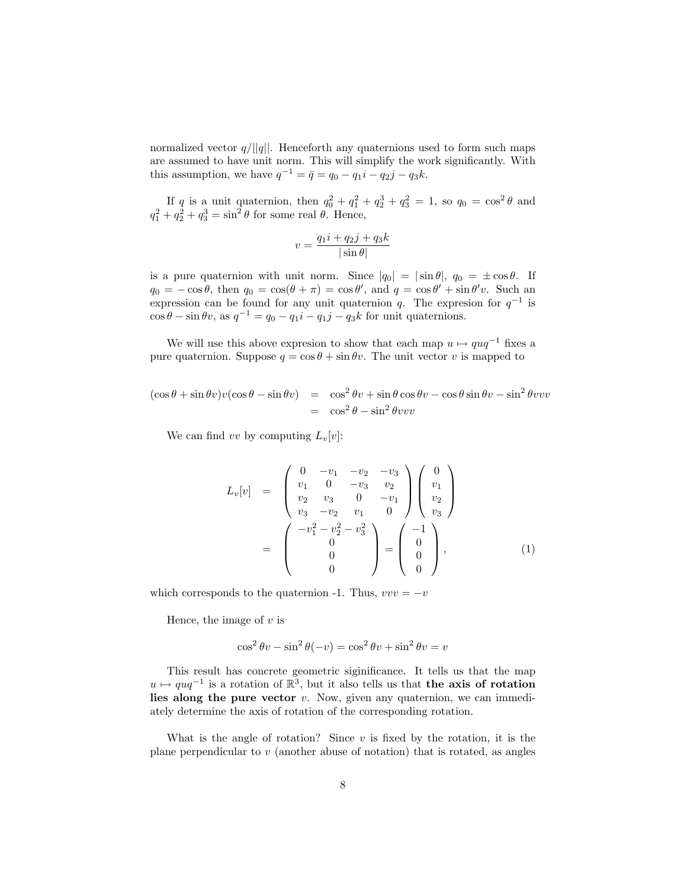normalized vector  $q/||q||$ . Henceforth any quaternions used to form such maps are assumed to have unit norm. This will simplify the work significantly. With this assumption, we have  $q^{-1} = \bar{q} = q_0 - q_1 i - q_2 j - q_3 k$ .

If q is a unit quaternion, then  $q_0^2 + q_1^2 + q_2^3 + q_3^2 = 1$ , so  $q_0 = \cos^2 \theta$  and  $q_1^2 + q_2^2 + q_3^3 = \sin^2 \theta$  for some real  $\theta$ . Hence,

$$
v = \frac{q_1 i + q_2 j + q_3 k}{|\sin \theta|}
$$

is a pure quaternion with unit norm. Since  $|q_0| = |\sin \theta|$ ,  $q_0 = \pm \cos \theta$ . If  $q_0 = -\cos\theta$ , then  $q_0 = \cos(\theta + \pi) = \cos\theta'$ , and  $q = \cos\theta' + \sin\theta'v$ . Such an expression can be found for any unit quaternion q. The expression for  $q^{-1}$  is  $\cos \theta - \sin \theta v$ , as  $q^{-1} = q_0 - q_1 i - q_1 j - q_3 k$  for unit quaternions.

We will use this above expresion to show that each map  $u \mapsto quq^{-1}$  fixes a pure quaternion. Suppose  $q = \cos \theta + \sin \theta v$ . The unit vector v is mapped to

$$
(\cos \theta + \sin \theta v)v(\cos \theta - \sin \theta v) = \cos^2 \theta v + \sin \theta \cos \theta v - \cos \theta \sin \theta v - \sin^2 \theta v v v
$$
  
=  $\cos^2 \theta - \sin^2 \theta v v v$ 

We can find vv by computing  $L_v[v]$ :

$$
L_v[v] = \begin{pmatrix} 0 & -v_1 & -v_2 & -v_3 \ v_1 & 0 & -v_3 & v_2 \ v_2 & v_3 & 0 & -v_1 \ v_3 & -v_2 & v_1 & 0 \end{pmatrix} \begin{pmatrix} 0 \ v_1 \ v_2 \ v_3 \end{pmatrix}
$$

$$
= \begin{pmatrix} -v_1^2 - v_2^2 - v_3^2 \ 0 \ 0 \end{pmatrix} = \begin{pmatrix} -1 \ 0 \ 0 \ 0 \end{pmatrix}, \qquad (1)
$$

which corresponds to the quaternion -1. Thus,  $vvv = -v$ 

Hence, the image of  $v$  is

$$
\cos^2 \theta v - \sin^2 \theta (-v) = \cos^2 \theta v + \sin^2 \theta v = v
$$

This result has concrete geometric siginificance. It tells us that the map  $u \mapsto \varrho u q^{-1}$  is a rotation of  $\mathbb{R}^3$ , but it also tells us that the axis of rotation lies along the pure vector  $v$ . Now, given any quaternion, we can immediately determine the axis of rotation of the corresponding rotation.

What is the angle of rotation? Since  $v$  is fixed by the rotation, it is the plane perpendicular to  $v$  (another abuse of notation) that is rotated, as angles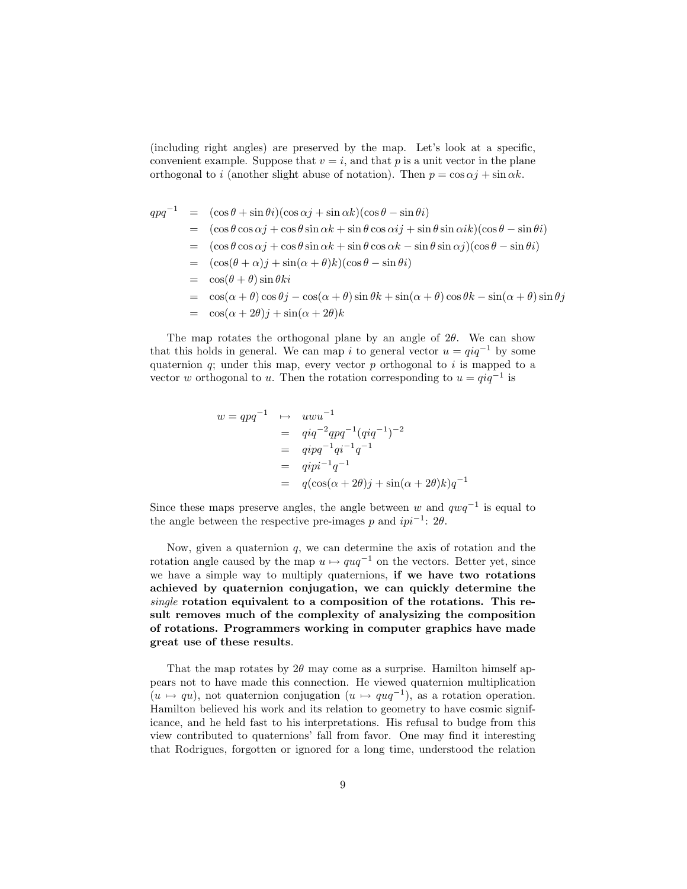(including right angles) are preserved by the map. Let's look at a specific, convenient example. Suppose that  $v = i$ , and that p is a unit vector in the plane orthogonal to i (another slight abuse of notation). Then  $p = \cos \alpha j + \sin \alpha k$ .

$$
qpq^{-1} = (\cos\theta + \sin\theta i)(\cos\alpha j + \sin\alpha k)(\cos\theta - \sin\theta i)
$$
  
\n
$$
= (\cos\theta \cos\alpha j + \cos\theta \sin\alpha k + \sin\theta \cos\alpha ij + \sin\theta \sin\alpha ik)(\cos\theta - \sin\theta i)
$$
  
\n
$$
= (\cos\theta \cos\alpha j + \cos\theta \sin\alpha k + \sin\theta \cos\alpha k - \sin\theta \sin\alpha j)(\cos\theta - \sin\theta i)
$$
  
\n
$$
= (\cos(\theta + \alpha)j + \sin(\alpha + \theta)k)(\cos\theta - \sin\theta i)
$$
  
\n
$$
= \cos(\theta + \theta) \sin\theta ki
$$
  
\n
$$
= \cos(\alpha + \theta) \cos\theta j - \cos(\alpha + \theta) \sin\theta k + \sin(\alpha + \theta) \cos\theta k - \sin(\alpha + \theta) \sin\theta j
$$

 $\cos(\alpha + 2\theta)j + \sin(\alpha + 2\theta)k$ 

The map rotates the orthogonal plane by an angle of  $2\theta$ . We can show that this holds in general. We can map i to general vector  $u = \dot{q}q^{-1}$  by some quaternion  $q$ ; under this map, every vector  $p$  orthogonal to i is mapped to a vector w orthogonal to u. Then the rotation corresponding to  $u = qiq^{-1}$  is

$$
w = qpq^{-1} \longrightarrow uwu^{-1}
$$
  
=  $qiq^{-2}qpq^{-1}(qiq^{-1})^{-2}$   
=  $qipq^{-1}qi^{-1}q^{-1}$   
=  $qipi^{-1}q^{-1}$   
=  $q(\cos(\alpha + 2\theta)j + \sin(\alpha + 2\theta)k)q^{-1}$ 

Since these maps preserve angles, the angle between w and  $qwq^{-1}$  is equal to the angle between the respective pre-images p and  $ipi^{-1}$ : 2 $\theta$ .

Now, given a quaternion  $q$ , we can determine the axis of rotation and the rotation angle caused by the map  $u \mapsto quq^{-1}$  on the vectors. Better yet, since we have a simple way to multiply quaternions, if we have two rotations achieved by quaternion conjugation, we can quickly determine the single rotation equivalent to a composition of the rotations. This result removes much of the complexity of analysizing the composition of rotations. Programmers working in computer graphics have made great use of these results.

That the map rotates by  $2\theta$  may come as a surprise. Hamilton himself appears not to have made this connection. He viewed quaternion multiplication  $(u \mapsto qu)$ , not quaternion conjugation  $(u \mapsto quq^{-1})$ , as a rotation operation. Hamilton believed his work and its relation to geometry to have cosmic significance, and he held fast to his interpretations. His refusal to budge from this view contributed to quaternions' fall from favor. One may find it interesting that Rodrigues, forgotten or ignored for a long time, understood the relation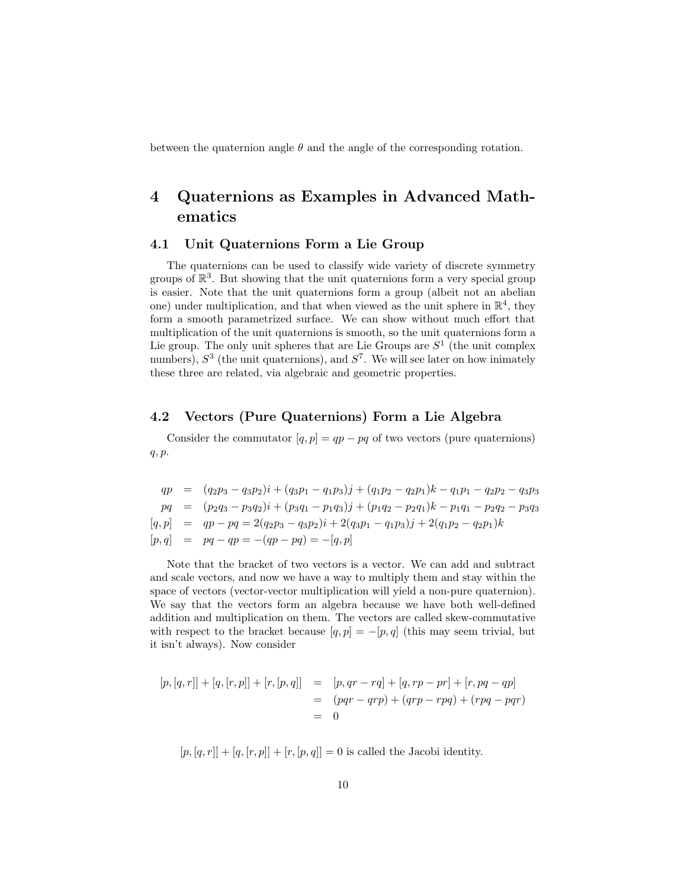between the quaternion angle  $\theta$  and the angle of the corresponding rotation.

## 4 Quaternions as Examples in Advanced Mathematics

## 4.1 Unit Quaternions Form a Lie Group

The quaternions can be used to classify wide variety of discrete symmetry groups of  $\mathbb{R}^3$ . But showing that the unit quaternions form a very special group is easier. Note that the unit quaternions form a group (albeit not an abelian one) under multiplication, and that when viewed as the unit sphere in  $\mathbb{R}^4$ , they form a smooth parametrized surface. We can show without much effort that multiplication of the unit quaternions is smooth, so the unit quaternions form a Lie group. The only unit spheres that are Lie Groups are  $S<sup>1</sup>$  (the unit complex numbers),  $S^3$  (the unit quaternions), and  $S^7$ . We will see later on how inimately these three are related, via algebraic and geometric properties.

## 4.2 Vectors (Pure Quaternions) Form a Lie Algebra

Consider the commutator  $[q, p] = qp - pq$  of two vectors (pure quaternions) q, p.

$$
qp = (q_2p_3 - q_3p_2)i + (q_3p_1 - q_1p_3)j + (q_1p_2 - q_2p_1)k - q_1p_1 - q_2p_2 - q_3p_3
$$
  
\n
$$
pq = (p_2q_3 - p_3q_2)i + (p_3q_1 - p_1q_3)j + (p_1q_2 - p_2q_1)k - p_1q_1 - p_2q_2 - p_3q_3
$$
  
\n
$$
[q, p] = qp - pq = 2(q_2p_3 - q_3p_2)i + 2(q_3p_1 - q_1p_3)j + 2(q_1p_2 - q_2p_1)k
$$
  
\n
$$
[p, q] = pq - qp = -(qp - pq) = -[q, p]
$$

Note that the bracket of two vectors is a vector. We can add and subtract and scale vectors, and now we have a way to multiply them and stay within the space of vectors (vector-vector multiplication will yield a non-pure quaternion). We say that the vectors form an algebra because we have both well-defined addition and multiplication on them. The vectors are called skew-commutative with respect to the bracket because  $[q, p] = -[p, q]$  (this may seem trivial, but it isn't always). Now consider

$$
[p,[q,r]] + [q,[r,p]] + [r,[p,q]] = [p,qr - rq] + [q,rp - pr] + [r, pq - qp]
$$
  

$$
= (pqr - qrp) + (qrp - rpq) + (rpq - pqr)
$$
  

$$
= 0
$$

 $[p, [q, r]] + [q, [r, p]] + [r, [p, q]] = 0$  is called the Jacobi identity.